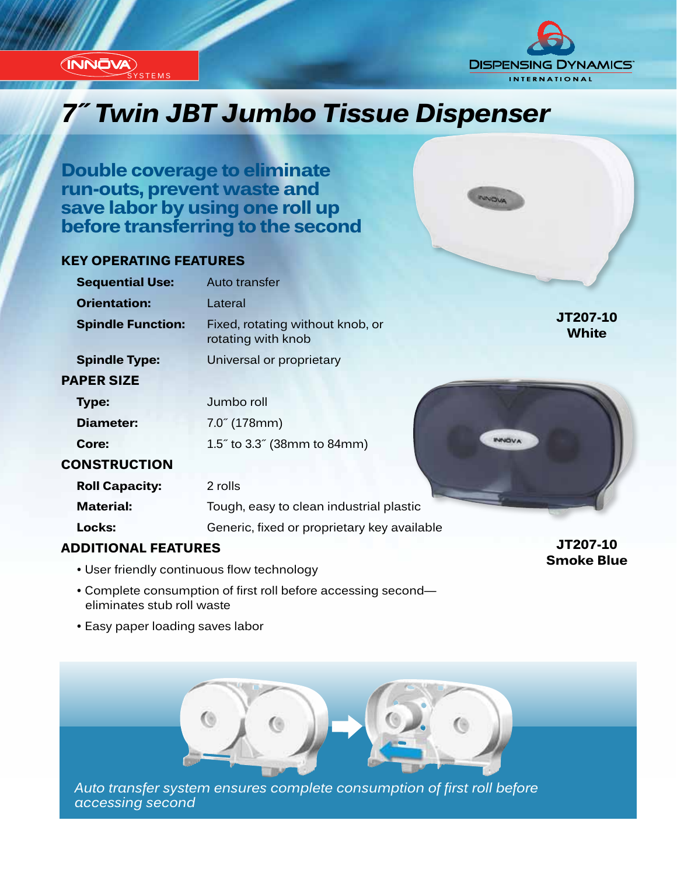



NNOVA

## *Innovation...Design...Solutions 7˝ Twin JBT Jumbo Tissue Dispenser*

**Double coverage to eliminate run-outs, prevent waste and save labor by using one roll up before transferring to the second**

#### **KEY OPERATING FEATURES**

| <b>Sequential Use:</b>   | Auto transfer                                          |                          |
|--------------------------|--------------------------------------------------------|--------------------------|
| <b>Orientation:</b>      | Lateral                                                |                          |
| <b>Spindle Function:</b> | Fixed, rotating without knob, or<br>rotating with knob | JT207-10<br><b>White</b> |
| <b>Spindle Type:</b>     | Universal or proprietary                               |                          |
| <b>PAPER SIZE</b>        |                                                        |                          |
| <b>Type:</b>             | Jumbo roll                                             |                          |
| Diameter:                | $7.0^{''}$ (178mm)                                     |                          |
| Core:                    | <b>INNOVA</b><br>1.5" to 3.3" (38mm to 84mm)           |                          |
| <b>CONSTRUCTION</b>      |                                                        |                          |
| <b>Roll Capacity:</b>    | 2 rolls                                                |                          |
| <b>Material:</b>         | Tough, easy to clean industrial plastic                |                          |
| Locks:                   | Generic, fixed or proprietary key available            |                          |
|                          |                                                        |                          |

#### **ADDITIONAL FEATURES**

- User friendly continuous flow technology
- Complete consumption of first roll before accessing second eliminates stub roll waste
- Easy paper loading saves labor



*Auto transfer system ensures complete consumption of first roll before accessing second*